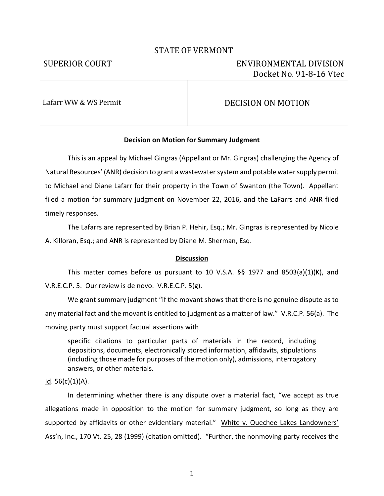# STATE OF VERMONT

# SUPERIOR COURT ENVIRONMENTAL DIVISION Docket No. 91-8-16 Vtec

# Lafarr WW & WS Permit  $DECISION ON MOTION$

## **Decision on Motion for Summary Judgment**

This is an appeal by Michael Gingras (Appellant or Mr. Gingras) challenging the Agency of Natural Resources' (ANR) decision to grant a wastewater system and potable water supply permit to Michael and Diane Lafarr for their property in the Town of Swanton (the Town). Appellant filed a motion for summary judgment on November 22, 2016, and the LaFarrs and ANR filed timely responses.

The Lafarrs are represented by Brian P. Hehir, Esq.; Mr. Gingras is represented by Nicole A. Killoran, Esq.; and ANR is represented by Diane M. Sherman, Esq.

## **Discussion**

This matter comes before us pursuant to 10 V.S.A. §§ 1977 and 8503(a)(1)(K), and V.R.E.C.P. 5. Our review is de novo. V.R.E.C.P. 5(g).

We grant summary judgment "if the movant shows that there is no genuine dispute as to any material fact and the movant is entitled to judgment as a matter of law." V.R.C.P. 56(a). The moving party must support factual assertions with

specific citations to particular parts of materials in the record, including depositions, documents, electronically stored information, affidavits, stipulations (including those made for purposes of the motion only), admissions, interrogatory answers, or other materials.

 $Id. 56(c)(1)(A).$ 

In determining whether there is any dispute over a material fact, "we accept as true allegations made in opposition to the motion for summary judgment, so long as they are supported by affidavits or other evidentiary material." White v. Quechee Lakes Landowners' Ass'n, Inc., 170 Vt. 25, 28 (1999) (citation omitted). "Further, the nonmoving party receives the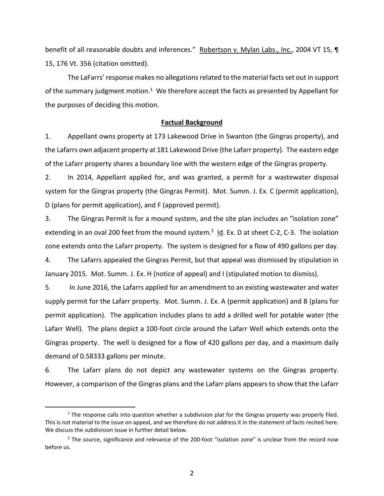benefit of all reasonable doubts and inferences." Robertson v. Mylan Labs., Inc., 2004 VT 15, ¶ 15, 176 Vt. 356 (citation omitted).

The LaFarrs' response makes no allegations related to the material facts set out in support of the summary judgment motion.<sup>1</sup> We therefore accept the facts as presented by Appellant for the purposes of deciding this motion.

# **Factual Background**

1. Appellant owns property at 173 Lakewood Drive in Swanton (the Gingras property), and the Lafarrs own adjacent property at 181 Lakewood Drive (the Lafarr property). The eastern edge of the Lafarr property shares a boundary line with the western edge of the Gingras property.

2. In 2014, Appellant applied for, and was granted, a permit for a wastewater disposal system for the Gingras property (the Gingras Permit). Mot. Summ. J. Ex. C (permit application), D (plans for permit application), and F (approved permit).

3. The Gingras Permit is for a mound system, and the site plan includes an "isolation zone" extending in an oval 200 feet from the mound system.<sup>2</sup> Id. Ex. D at sheet C-2, C-3. The isolation zone extends onto the Lafarr property. The system is designed for a flow of 490 gallons per day.

4. The Lafarrs appealed the Gingras Permit, but that appeal was dismissed by stipulation in January 2015. Mot. Summ. J. Ex. H (notice of appeal) and I (stipulated motion to dismiss).

5. In June 2016, the Lafarrs applied for an amendment to an existing wastewater and water supply permit for the Lafarr property. Mot. Summ. J. Ex. A (permit application) and B (plans for permit application). The application includes plans to add a drilled well for potable water (the Lafarr Well). The plans depict a 100-foot circle around the Lafarr Well which extends onto the Gingras property. The well is designed for a flow of 420 gallons per day, and a maximum daily demand of 0.58333 gallons per minute.

6. The Lafarr plans do not depict any wastewater systems on the Gingras property. However, a comparison of the Gingras plans and the Lafarr plans appears to show that the Lafarr

1

 $<sup>1</sup>$  The response calls into question whether a subdivision plat for the Gingras property was properly filed.</sup> This is not material to the issue on appeal, and we therefore do not address it in the statement of facts recited here. We discuss the subdivision issue in further detail below.

<sup>&</sup>lt;sup>2</sup> The source, significance and relevance of the 200-foot "isolation zone" is unclear from the record now before us.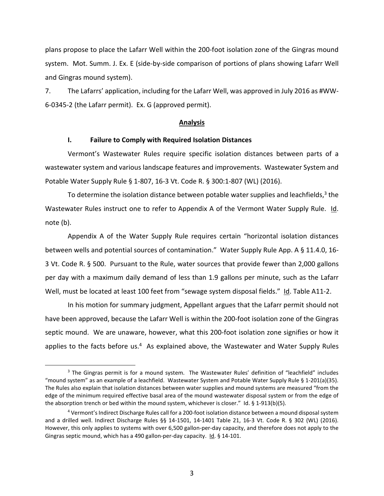plans propose to place the Lafarr Well within the 200-foot isolation zone of the Gingras mound system. Mot. Summ. J. Ex. E (side-by-side comparison of portions of plans showing Lafarr Well and Gingras mound system).

7. The Lafarrs' application, including for the Lafarr Well, was approved in July 2016 as #WW-6-0345-2 (the Lafarr permit). Ex. G (approved permit).

### **Analysis**

#### **I. Failure to Comply with Required Isolation Distances**

Vermont's Wastewater Rules require specific isolation distances between parts of a wastewater system and various landscape features and improvements. Wastewater System and Potable Water Supply Rule § 1-807, 16-3 Vt. Code R. § 300:1-807 (WL) (2016).

To determine the isolation distance between potable water supplies and leachfields, $3$  the Wastewater Rules instruct one to refer to Appendix A of the Vermont Water Supply Rule. Id. note (b).

Appendix A of the Water Supply Rule requires certain "horizontal isolation distances between wells and potential sources of contamination." Water Supply Rule App. A § 11.4.0, 16- 3 Vt. Code R. § 500. Pursuant to the Rule, water sources that provide fewer than 2,000 gallons per day with a maximum daily demand of less than 1.9 gallons per minute, such as the Lafarr Well, must be located at least 100 feet from "sewage system disposal fields." Id. Table A11-2.

In his motion for summary judgment, Appellant argues that the Lafarr permit should not have been approved, because the Lafarr Well is within the 200-foot isolation zone of the Gingras septic mound. We are unaware, however, what this 200-foot isolation zone signifies or how it applies to the facts before us.<sup>4</sup> As explained above, the Wastewater and Water Supply Rules

l

<sup>&</sup>lt;sup>3</sup> The Gingras permit is for a mound system. The Wastewater Rules' definition of "leachfield" includes "mound system" as an example of a leachfield. Wastewater System and Potable Water Supply Rule § 1-201(a)(35). The Rules also explain that isolation distances between water supplies and mound systems are measured "from the edge of the minimum required effective basal area of the mound wastewater disposal system or from the edge of the absorption trench or bed within the mound system, whichever is closer." Id. § 1-913(b)(5).

<sup>4</sup> Vermont's Indirect Discharge Rules call for a 200-foot isolation distance between a mound disposal system and a drilled well. Indirect Discharge Rules §§ 14-1501, 14-1401 Table 21, 16-3 Vt. Code R. § 302 (WL) (2016). However, this only applies to systems with over 6,500 gallon-per-day capacity, and therefore does not apply to the Gingras septic mound, which has a 490 gallon-per-day capacity. Id. § 14-101.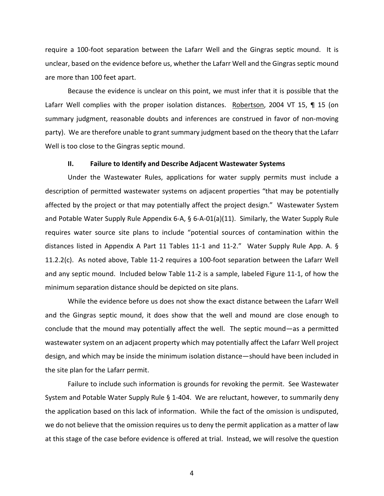require a 100-foot separation between the Lafarr Well and the Gingras septic mound. It is unclear, based on the evidence before us, whether the Lafarr Well and the Gingras septic mound are more than 100 feet apart.

Because the evidence is unclear on this point, we must infer that it is possible that the Lafarr Well complies with the proper isolation distances. Robertson, 2004 VT 15, 1 15 (on summary judgment, reasonable doubts and inferences are construed in favor of non-moving party). We are therefore unable to grant summary judgment based on the theory that the Lafarr Well is too close to the Gingras septic mound.

#### **II. Failure to Identify and Describe Adjacent Wastewater Systems**

Under the Wastewater Rules, applications for water supply permits must include a description of permitted wastewater systems on adjacent properties "that may be potentially affected by the project or that may potentially affect the project design." Wastewater System and Potable Water Supply Rule Appendix 6-A, § 6-A-01(a)(11). Similarly, the Water Supply Rule requires water source site plans to include "potential sources of contamination within the distances listed in Appendix A Part 11 Tables 11-1 and 11-2." Water Supply Rule App. A. § 11.2.2(c). As noted above, Table 11-2 requires a 100-foot separation between the Lafarr Well and any septic mound. Included below Table 11-2 is a sample, labeled Figure 11-1, of how the minimum separation distance should be depicted on site plans.

While the evidence before us does not show the exact distance between the Lafarr Well and the Gingras septic mound, it does show that the well and mound are close enough to conclude that the mound may potentially affect the well. The septic mound—as a permitted wastewater system on an adjacent property which may potentially affect the Lafarr Well project design, and which may be inside the minimum isolation distance—should have been included in the site plan for the Lafarr permit.

Failure to include such information is grounds for revoking the permit. See Wastewater System and Potable Water Supply Rule § 1-404. We are reluctant, however, to summarily deny the application based on this lack of information. While the fact of the omission is undisputed, we do not believe that the omission requires us to deny the permit application as a matter of law at this stage of the case before evidence is offered at trial. Instead, we will resolve the question

4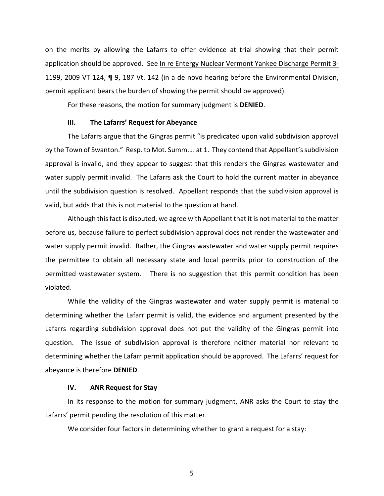on the merits by allowing the Lafarrs to offer evidence at trial showing that their permit application should be approved. See In re Entergy Nuclear Vermont Yankee Discharge Permit 3- 1199, 2009 VT 124, ¶ 9, 187 Vt. 142 (in a de novo hearing before the Environmental Division, permit applicant bears the burden of showing the permit should be approved).

For these reasons, the motion for summary judgment is **DENIED**.

#### **III. The Lafarrs' Request for Abeyance**

The Lafarrs argue that the Gingras permit "is predicated upon valid subdivision approval by the Town of Swanton." Resp. to Mot. Summ. J. at 1. They contend that Appellant's subdivision approval is invalid, and they appear to suggest that this renders the Gingras wastewater and water supply permit invalid. The Lafarrs ask the Court to hold the current matter in abeyance until the subdivision question is resolved. Appellant responds that the subdivision approval is valid, but adds that this is not material to the question at hand.

Although this fact is disputed, we agree with Appellant that it is not material to the matter before us, because failure to perfect subdivision approval does not render the wastewater and water supply permit invalid. Rather, the Gingras wastewater and water supply permit requires the permittee to obtain all necessary state and local permits prior to construction of the permitted wastewater system. There is no suggestion that this permit condition has been violated.

While the validity of the Gingras wastewater and water supply permit is material to determining whether the Lafarr permit is valid, the evidence and argument presented by the Lafarrs regarding subdivision approval does not put the validity of the Gingras permit into question. The issue of subdivision approval is therefore neither material nor relevant to determining whether the Lafarr permit application should be approved. The Lafarrs' request for abeyance is therefore **DENIED**.

### **IV. ANR Request for Stay**

In its response to the motion for summary judgment, ANR asks the Court to stay the Lafarrs' permit pending the resolution of this matter.

We consider four factors in determining whether to grant a request for a stay:

5